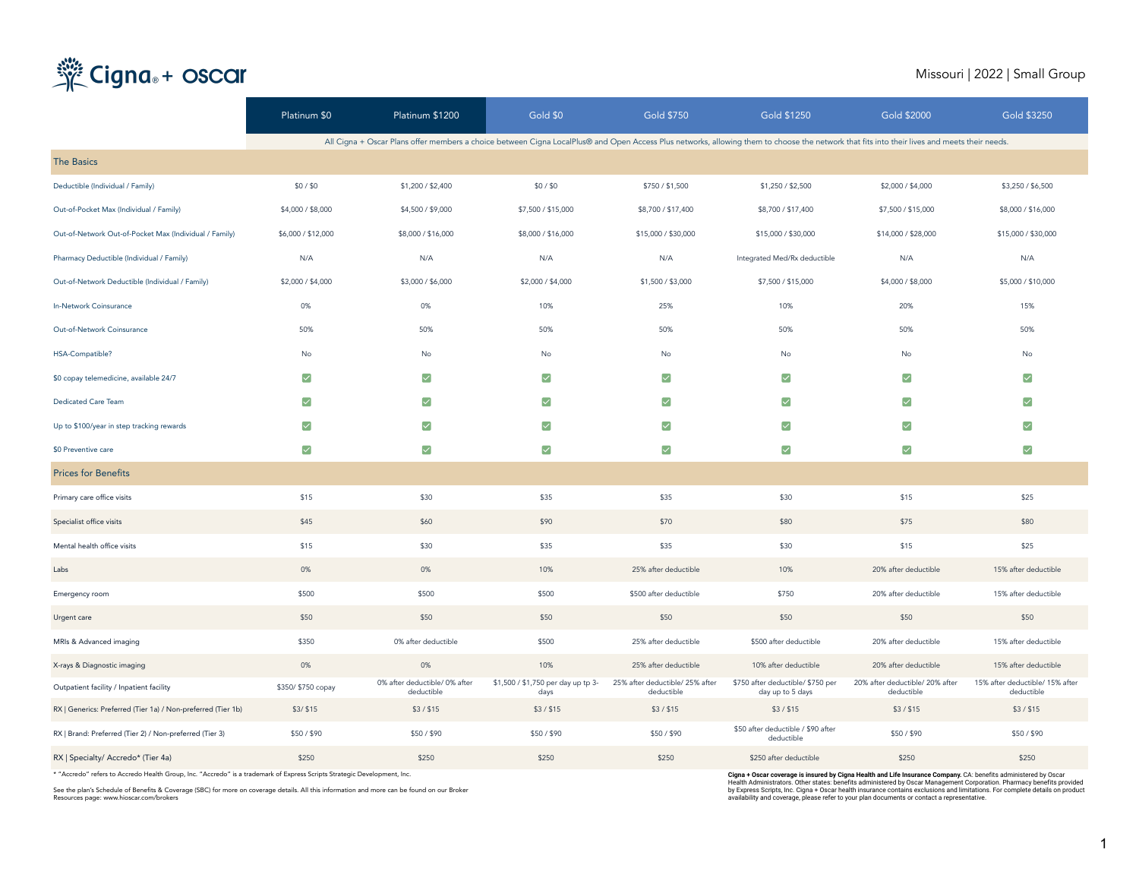# Cigna<sub>®</sub>+ oscar

### Missouri | 2022 | Small Group

|                                                              | Platinum \$0          | Platinum \$1200                                                                                                                                                                              | Gold \$0                                   | <b>Gold \$750</b>                             | Gold \$1250                                           | <b>Gold \$2000</b>                            | <b>Gold \$3250</b>                            |
|--------------------------------------------------------------|-----------------------|----------------------------------------------------------------------------------------------------------------------------------------------------------------------------------------------|--------------------------------------------|-----------------------------------------------|-------------------------------------------------------|-----------------------------------------------|-----------------------------------------------|
|                                                              |                       | All Cigna + Oscar Plans offer members a choice between Cigna LocalPlus@ and Open Access Plus networks, allowing them to choose the network that fits into their lives and meets their needs. |                                            |                                               |                                                       |                                               |                                               |
| <b>The Basics</b>                                            |                       |                                                                                                                                                                                              |                                            |                                               |                                                       |                                               |                                               |
| Deductible (Individual / Family)                             | \$0/\$0               | \$1,200 / \$2,400                                                                                                                                                                            | \$0/\$0                                    | \$750 / \$1,500                               | \$1,250 / \$2,500                                     | \$2,000 / \$4,000                             | \$3,250 / \$6,500                             |
| Out-of-Pocket Max (Individual / Family)                      | \$4,000 / \$8,000     | \$4,500 / \$9,000                                                                                                                                                                            | \$7,500 / \$15,000                         | \$8,700 / \$17,400                            | \$8,700 / \$17,400                                    | \$7,500 / \$15,000                            | \$8,000 / \$16,000                            |
| Out-of-Network Out-of-Pocket Max (Individual / Family)       | \$6,000 / \$12,000    | \$8,000 / \$16,000                                                                                                                                                                           | \$8,000 / \$16,000                         | \$15,000 / \$30,000                           | \$15,000 / \$30,000                                   | \$14,000 / \$28,000                           | \$15,000 / \$30,000                           |
| Pharmacy Deductible (Individual / Family)                    | N/A                   | N/A                                                                                                                                                                                          | N/A                                        | N/A                                           | Integrated Med/Rx deductible                          | N/A                                           | N/A                                           |
| Out-of-Network Deductible (Individual / Family)              | \$2,000 / \$4,000     | \$3,000 / \$6,000                                                                                                                                                                            | \$2,000 / \$4,000                          | \$1,500 / \$3,000                             | \$7,500 / \$15,000                                    | \$4,000 / \$8,000                             | \$5,000 / \$10,000                            |
| In-Network Coinsurance                                       | 0%                    | 0%                                                                                                                                                                                           | 10%                                        | 25%                                           | 10%                                                   | 20%                                           | 15%                                           |
| Out-of-Network Coinsurance                                   | 50%                   | 50%                                                                                                                                                                                          | 50%                                        | 50%                                           | 50%                                                   | 50%                                           | 50%                                           |
| HSA-Compatible?                                              | No                    | No                                                                                                                                                                                           | No                                         | No                                            | No                                                    | No                                            | No                                            |
| \$0 copay telemedicine, available 24/7                       | ☑                     | $\blacktriangledown$                                                                                                                                                                         | $\blacktriangledown$                       | ☑                                             | $\blacktriangledown$                                  | $\blacktriangledown$                          | ☑                                             |
| Dedicated Care Team                                          | $\blacktriangleright$ | $\blacktriangledown$                                                                                                                                                                         | $\blacktriangledown$                       | $\blacktriangleright$                         | ☑                                                     | ☑                                             | $\blacktriangledown$                          |
| Up to \$100/year in step tracking rewards                    | ☑                     | $\blacktriangledown$                                                                                                                                                                         | $\blacktriangledown$                       | ☑                                             | $\blacktriangledown$                                  | $\blacktriangledown$                          | ☑                                             |
| \$0 Preventive care                                          | $\blacktriangledown$  | $\blacktriangledown$                                                                                                                                                                         | $\blacktriangledown$                       | $\blacktriangledown$                          | $\blacktriangledown$                                  | $\blacktriangledown$                          | $\blacktriangledown$                          |
| <b>Prices for Benefits</b>                                   |                       |                                                                                                                                                                                              |                                            |                                               |                                                       |                                               |                                               |
| Primary care office visits                                   | \$15                  | \$30                                                                                                                                                                                         | \$35                                       | \$35                                          | \$30                                                  | \$15                                          | \$25                                          |
| Specialist office visits                                     | \$45                  | \$60                                                                                                                                                                                         | \$90                                       | \$70                                          | \$80                                                  | \$75                                          | \$80                                          |
| Mental health office visits                                  | \$15                  | \$30                                                                                                                                                                                         | \$35                                       | \$35                                          | \$30                                                  | \$15                                          | \$25                                          |
| Labs                                                         | 0%                    | 0%                                                                                                                                                                                           | 10%                                        | 25% after deductible                          | 10%                                                   | 20% after deductible                          | 15% after deductible                          |
| Emergency room                                               | \$500                 | \$500                                                                                                                                                                                        | \$500                                      | \$500 after deductible                        | \$750                                                 | 20% after deductible                          | 15% after deductible                          |
| Urgent care                                                  | \$50                  | \$50                                                                                                                                                                                         | \$50                                       | \$50                                          | \$50                                                  | \$50                                          | \$50                                          |
| MRIs & Advanced imaging                                      | \$350                 | 0% after deductible                                                                                                                                                                          | \$500                                      | 25% after deductible                          | \$500 after deductible                                | 20% after deductible                          | 15% after deductible                          |
| X-rays & Diagnostic imaging                                  | 0%                    | 0%                                                                                                                                                                                           | 10%                                        | 25% after deductible                          | 10% after deductible                                  | 20% after deductible                          | 15% after deductible                          |
| Outpatient facility / Inpatient facility                     | \$350/ \$750 copay    | 0% after deductible/ 0% after<br>deductible                                                                                                                                                  | \$1,500 / \$1,750 per day up tp 3-<br>days | 25% after deductible/ 25% after<br>deductible | \$750 after deductible/ \$750 per<br>day up to 5 days | 20% after deductible/ 20% after<br>deductible | 15% after deductible/ 15% after<br>deductible |
| RX   Generics: Preferred (Tier 1a) / Non-preferred (Tier 1b) | \$3/ \$15             | \$3/\$15                                                                                                                                                                                     | \$3/\$15                                   | \$3/\$15                                      | \$3 / \$15                                            | \$3/\$15                                      | \$3 / \$15                                    |
| RX   Brand: Preferred (Tier 2) / Non-preferred (Tier 3)      | \$50/\$90             | \$50/\$90                                                                                                                                                                                    | \$50/\$90                                  | \$50/\$90                                     | \$50 after deductible / \$90 after<br>deductible      | \$50/\$90                                     | \$50/\$90                                     |
| RX   Specialty/ Accredo* (Tier 4a)                           | \$250                 | \$250                                                                                                                                                                                        | \$250                                      | \$250                                         | \$250 after deductible                                | \$250                                         | \$250                                         |

\* "Accredo" refers to Accredo Health Group, Inc. "Accredo" is a trademark of Express Scripts Strategic Development, Inc.

See the plan's Schedule of Benefits & Coverage (SBC) for more on coverage details. All this information and more can be found on our Broker Resources page: www.hioscar.com/brokers

C**igna + Oscar coverage is insured by Cigna Health and Life Insurance Company**. CA: benefits administered by Oscar<br>Health Administrators. Other states: benefits administered by Oscar Management Corporation. Pharmacy benefi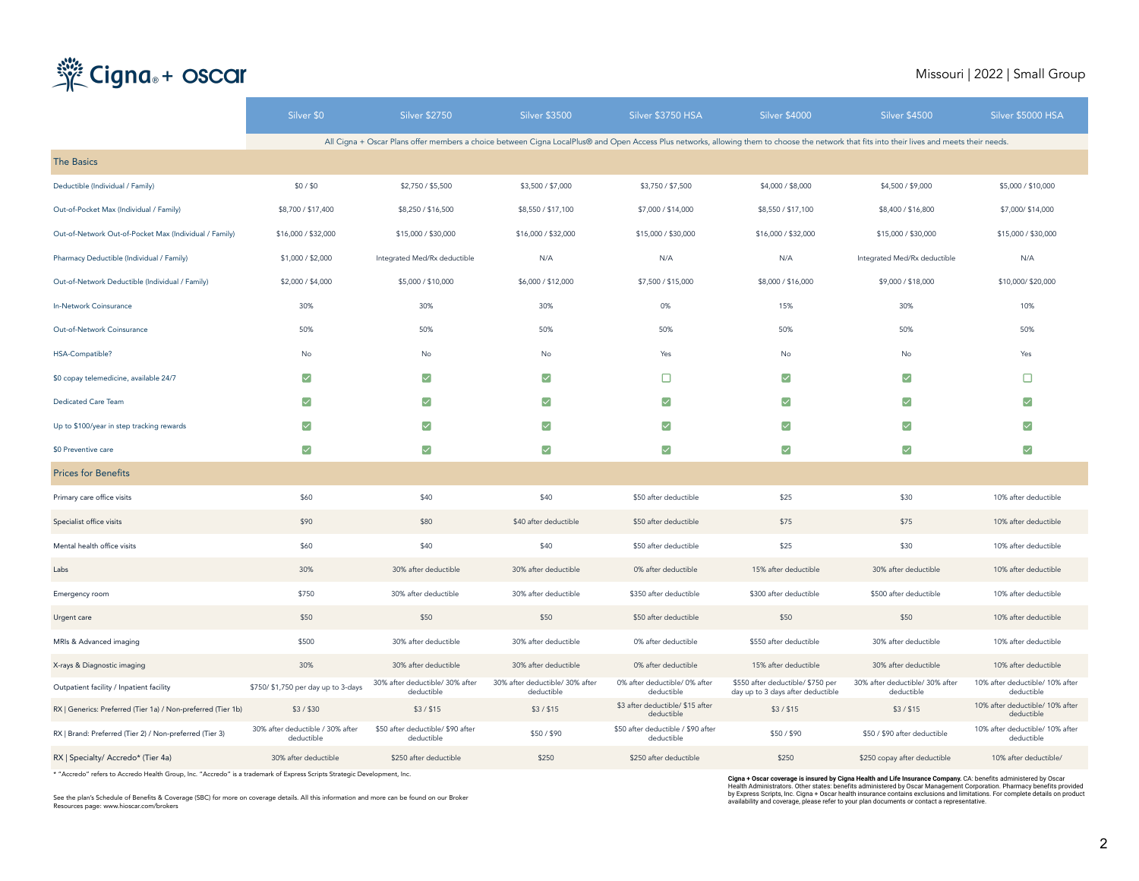## Cigna<sub>®</sub>+ oscar

#### Missouri | 2022 | Small Group

|                                                              | Silver \$0                                     | <b>Silver \$2750</b>                            | <b>Silver \$3500</b>                          | Silver \$3750 HSA                                | <b>Silver \$4000</b>                                                                                                                                                                         | <b>Silver \$4500</b>                          | Silver \$5000 HSA                             |
|--------------------------------------------------------------|------------------------------------------------|-------------------------------------------------|-----------------------------------------------|--------------------------------------------------|----------------------------------------------------------------------------------------------------------------------------------------------------------------------------------------------|-----------------------------------------------|-----------------------------------------------|
|                                                              |                                                |                                                 |                                               |                                                  | All Cigna + Oscar Plans offer members a choice between Cigna LocalPlus@ and Open Access Plus networks, allowing them to choose the network that fits into their lives and meets their needs. |                                               |                                               |
| <b>The Basics</b>                                            |                                                |                                                 |                                               |                                                  |                                                                                                                                                                                              |                                               |                                               |
| Deductible (Individual / Family)                             | \$0/\$0                                        | \$2,750 / \$5,500                               | \$3,500 / \$7,000                             | \$3,750 / \$7,500                                | \$4,000 / \$8,000                                                                                                                                                                            | \$4,500 / \$9,000                             | \$5,000 / \$10,000                            |
| Out-of-Pocket Max (Individual / Family)                      | \$8,700 / \$17,400                             | \$8,250 / \$16,500                              | \$8,550 / \$17,100                            | \$7,000 / \$14,000                               | \$8,550 / \$17,100                                                                                                                                                                           | \$8,400 / \$16,800                            | \$7,000/\$14,000                              |
| Out-of-Network Out-of-Pocket Max (Individual / Family)       | \$16,000 / \$32,000                            | \$15,000 / \$30,000                             | \$16,000 / \$32,000                           | \$15,000 / \$30,000                              | \$16,000 / \$32,000                                                                                                                                                                          | \$15,000 / \$30,000                           | \$15,000 / \$30,000                           |
| Pharmacy Deductible (Individual / Family)                    | \$1,000 / \$2,000                              | Integrated Med/Rx deductible                    | N/A                                           | N/A                                              | N/A                                                                                                                                                                                          | Integrated Med/Rx deductible                  | N/A                                           |
| Out-of-Network Deductible (Individual / Family)              | \$2,000 / \$4,000                              | \$5,000 / \$10,000                              | \$6,000 / \$12,000                            | \$7,500 / \$15,000                               | \$8,000 / \$16,000                                                                                                                                                                           | \$9,000 / \$18,000                            | \$10,000/\$20,000                             |
| In-Network Coinsurance                                       | 30%                                            | 30%                                             | 30%                                           | 0%                                               | 15%                                                                                                                                                                                          | 30%                                           | 10%                                           |
| Out-of-Network Coinsurance                                   | 50%                                            | 50%                                             | 50%                                           | 50%                                              | 50%                                                                                                                                                                                          | 50%                                           | 50%                                           |
| HSA-Compatible?                                              | No                                             | No                                              | No                                            | Yes                                              | No                                                                                                                                                                                           | No                                            | Yes                                           |
| \$0 copay telemedicine, available 24/7                       | ☑                                              | $\blacktriangledown$                            | $\blacktriangledown$                          | □                                                | $\blacktriangledown$                                                                                                                                                                         | ☑                                             | o                                             |
| Dedicated Care Team                                          | ▽                                              | $\blacktriangledown$                            | $\blacktriangledown$                          | $\blacktriangledown$                             | $\blacktriangledown$                                                                                                                                                                         | $\checkmark$                                  | ☑                                             |
| Up to \$100/year in step tracking rewards                    | ☑                                              | ☑                                               | $\blacktriangledown$                          | ☑                                                | $\blacktriangledown$                                                                                                                                                                         | ☑                                             | ▽                                             |
| \$0 Preventive care                                          | ▽                                              | ☑                                               | ☑                                             | ☑                                                | ☑                                                                                                                                                                                            | $\blacktriangledown$                          | $\left[\rightthreetimes\right]$               |
| <b>Prices for Benefits</b>                                   |                                                |                                                 |                                               |                                                  |                                                                                                                                                                                              |                                               |                                               |
| Primary care office visits                                   | \$60                                           | \$40                                            | \$40                                          | \$50 after deductible                            | \$25                                                                                                                                                                                         | \$30                                          | 10% after deductible                          |
| Specialist office visits                                     | \$90                                           | \$80                                            | \$40 after deductible                         | \$50 after deductible                            | \$75                                                                                                                                                                                         | \$75                                          | 10% after deductible                          |
| Mental health office visits                                  | \$60                                           | \$40                                            | \$40                                          | \$50 after deductible                            | \$25                                                                                                                                                                                         | \$30                                          | 10% after deductible                          |
| Labs                                                         | 30%                                            | 30% after deductible                            | 30% after deductible                          | 0% after deductible                              | 15% after deductible                                                                                                                                                                         | 30% after deductible                          | 10% after deductible                          |
| Emergency room                                               | \$750                                          | 30% after deductible                            | 30% after deductible                          | \$350 after deductible                           | \$300 after deductible                                                                                                                                                                       | \$500 after deductible                        | 10% after deductible                          |
| Urgent care                                                  | \$50                                           | \$50                                            | \$50                                          | \$50 after deductible                            | \$50                                                                                                                                                                                         | \$50                                          | 10% after deductible                          |
| MRIs & Advanced imaging                                      | \$500                                          | 30% after deductible                            | 30% after deductible                          | 0% after deductible                              | \$550 after deductible                                                                                                                                                                       | 30% after deductible                          | 10% after deductible                          |
| X-rays & Diagnostic imaging                                  | 30%                                            | 30% after deductible                            | 30% after deductible                          | 0% after deductible                              | 15% after deductible                                                                                                                                                                         | 30% after deductible                          | 10% after deductible                          |
| Outpatient facility / Inpatient facility                     | \$750/ \$1,750 per day up to 3-days            | 30% after deductible/ 30% after<br>deductible   | 30% after deductible/ 30% after<br>deductible | 0% after deductible/ 0% after<br>deductible      | \$550 after deductible/ \$750 per<br>day up to 3 days after deductible                                                                                                                       | 30% after deductible/ 30% after<br>deductible | 10% after deductible/ 10% after<br>deductible |
| RX   Generics: Preferred (Tier 1a) / Non-preferred (Tier 1b) | \$3/\$30                                       | \$3 / \$15                                      | \$3/\$15                                      | \$3 after deductible/ \$15 after<br>deductible   | \$3 / \$15                                                                                                                                                                                   | \$3/\$15                                      | 10% after deductible/ 10% after<br>deductible |
| RX   Brand: Preferred (Tier 2) / Non-preferred (Tier 3)      | 30% after deductible / 30% after<br>deductible | \$50 after deductible/ \$90 after<br>deductible | \$50/\$90                                     | \$50 after deductible / \$90 after<br>deductible | \$50/\$90                                                                                                                                                                                    | \$50 / \$90 after deductible                  | 10% after deductible/ 10% after<br>deductible |
| RX   Specialty/ Accredo* (Tier 4a)                           | 30% after deductible                           | \$250 after deductible                          | \$250                                         | \$250 after deductible                           | \$250                                                                                                                                                                                        | \$250 copay after deductible                  | 10% after deductible/                         |

\* "Accredo" refers to Accredo Health Group, Inc. "Accredo" is a trademark of Express Scripts Strategic Development, Inc.

See the plan's Schedule of Benefits & Coverage (SBC) for more on coverage details. All this information and more can be found on our Broker Resources page: www.hioscar.com/brokers

C**igna + Oscar coverage is insured by Cigna Health and Life Insurance Company**. CA: benefits administered by Oscar<br>Health Administrators. Other states: benefits administered by Oscar Management Corporation. Pharmacy benefi